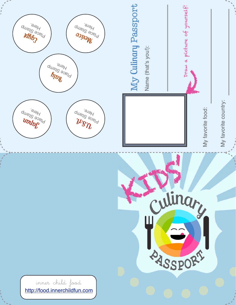